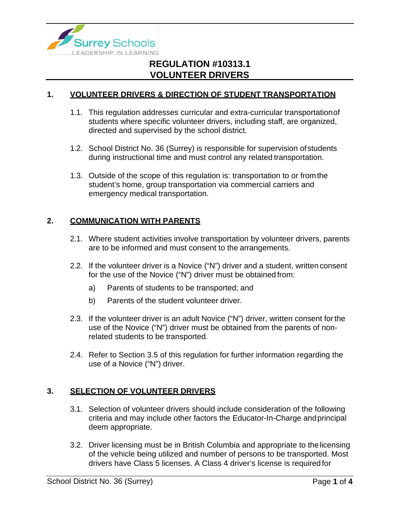

#### **1. VOLUNTEER DRIVERS & DIRECTION OF STUDENT TRANSPORTATION**

- 1.1. This regulation addresses curricular and extra-curricular transportationof students where specific volunteer drivers, including staff, are organized, directed and supervised by the school district.
- 1.2. School District No. 36 (Surrey) is responsible for supervision ofstudents during instructional time and must control any related transportation.
- 1.3. Outside of the scope of this regulation is: transportation to or fromthe student's home, group transportation via commercial carriers and emergency medical transportation.

### **2. COMMUNICATION WITH PARENTS**

- 2.1. Where student activities involve transportation by volunteer drivers, parents are to be informed and must consent to the arrangements.
- 2.2. If the volunteer driver is a Novice ("N") driver and a student, written consent for the use of the Novice ("N") driver must be obtained from:
	- a) Parents of students to be transported; and
	- b) Parents of the student volunteer driver.
- 2.3. If the volunteer driver is an adult Novice ("N") driver, written consent forthe use of the Novice ("N") driver must be obtained from the parents of nonrelated students to be transported.
- 2.4. Refer to Section 3.5 of this regulation for further information regarding the use of a Novice ("N") driver.

#### **3. SELECTION OF VOLUNTEER DRIVERS**

- 3.1. Selection of volunteer drivers should include consideration of the following criteria and may include other factors the Educator-In-Charge andprincipal deem appropriate.
- 3.2. Driver licensing must be in British Columbia and appropriate to thelicensing of the vehicle being utilized and number of persons to be transported. Most drivers have Class 5 licenses. A Class 4 driver's license is requiredfor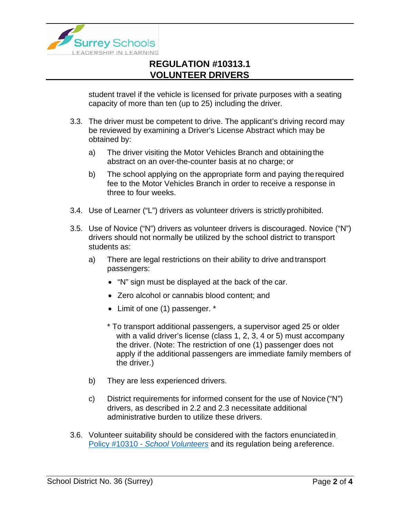

student travel if the vehicle is licensed for private purposes with a seating capacity of more than ten (up to 25) including the driver.

- 3.3. The driver must be competent to drive. The applicant's driving record may be reviewed by examining a Driver's License Abstract which may be obtained by:
	- a) The driver visiting the Motor Vehicles Branch and obtainingthe abstract on an over-the-counter basis at no charge; or
	- b) The school applying on the appropriate form and paying therequired fee to the Motor Vehicles Branch in order to receive a response in three to four weeks.
- 3.4. Use of Learner ("L") drivers as volunteer drivers is strictlyprohibited.
- 3.5. Use of Novice ("N") drivers as volunteer drivers is discouraged. Novice ("N") drivers should not normally be utilized by the school district to transport students as:
	- a) There are legal restrictions on their ability to drive and transport passengers:
		- "N" sign must be displayed at the back of the car.
		- Zero alcohol or cannabis blood content; and
		- Limit of one (1) passenger. \*
		- \* To transport additional passengers, a supervisor aged 25 or older with a valid driver's license (class 1, 2, 3, 4 or 5) must accompany the driver. (Note: The restriction of one (1) passenger does not apply if the additional passengers are immediate family members of the driver.)
	- b) They are less experienced drivers.
	- c) District requirements for informed consent for the use of Novice ("N") drivers, as described in 2.2 and 2.3 necessitate additional administrative burden to utilize these drivers.
- 3.6. Volunteer suitability should be considered with the factors enunciatedi[n](https://www.surreyschools.ca/departments/SECT/PoliciesRegulations/section_10000/Documents/10310%20Policy.pdf) Policy #10310 - *[School Volunteers](https://www.surreyschools.ca/departments/SECT/PoliciesRegulations/section_10000/Documents/10310%20Policy.pdf)* and its regulation being areference.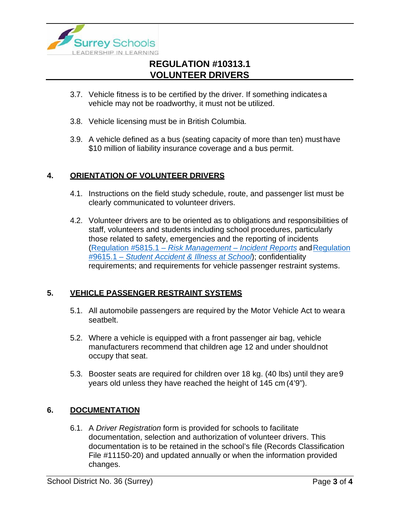

- 3.7. Vehicle fitness is to be certified by the driver. If something indicatesa vehicle may not be roadworthy, it must not be utilized.
- 3.8. Vehicle licensing must be in British Columbia.
- 3.9. A vehicle defined as a bus (seating capacity of more than ten) must have \$10 million of liability insurance coverage and a bus permit.

#### **4. ORIENTATION OF VOLUNTEER DRIVERS**

- 4.1. Instructions on the field study schedule, route, and passenger list must be clearly communicated to volunteer drivers.
- 4.2. Volunteer drivers are to be oriented as to obligations and responsibilities of staff, volunteers and students including school procedures, particularly those related to safety, emergencies and the reporting of incidents [\(Regulation #5815.1 –](https://www.surreyschools.ca/departments/SECT/PoliciesRegulations/section_5000/Documents/5815.1%20Regulation.pdf) *Risk Management – Incident Reports* an[dRegulation](https://www.surreyschools.ca/departments/SECT/PoliciesRegulations/section_9000/Documents/9615.1%20Regulation.pdf) #9615.1 – *[Student Accident & Illness at School](https://www.surreyschools.ca/departments/SECT/PoliciesRegulations/section_9000/Documents/9615.1%20Regulation.pdf)*); confidentiality requirements; and requirements for vehicle passenger restraint systems.

### **5. VEHICLE PASSENGER RESTRAINT SYSTEMS**

- 5.1. All automobile passengers are required by the Motor Vehicle Act to weara seatbelt.
- 5.2. Where a vehicle is equipped with a front passenger air bag, vehicle manufacturers recommend that children age 12 and under shouldnot occupy that seat.
- 5.3. Booster seats are required for children over 18 kg. (40 lbs) until they are9 years old unless they have reached the height of 145 cm (4'9").

#### **6. DOCUMENTATION**

6.1. A *Driver Registration* form is provided for schools to facilitate documentation, selection and authorization of volunteer drivers. This documentation is to be retained in the school's file (Records Classification File #11150-20) and updated annually or when the information provided changes.